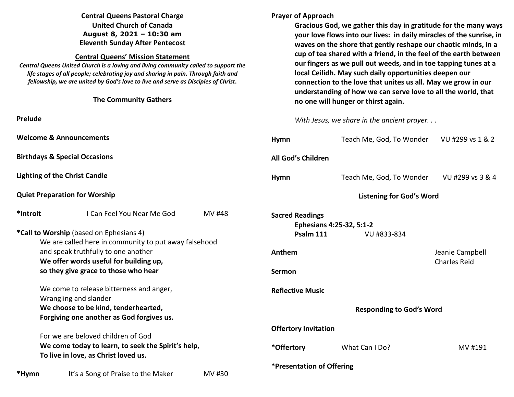## **Central Queens Pastoral Charge United Church of Canada August 8, 2021 – 10:30 am Eleventh Sunday After Pentecost**

#### **Central Queens' Mission Statement**

 *Central Queens United Church is a loving and living community called to support the life stages of all people; celebrating joy and sharing in pain. Through faith and fellowship, we are united by God's love to live and serve as Disciples of Christ***.** 

| Tenowship, we are annea by God's love to live and serve as Disciples of Christ.<br><b>The Community Gathers</b> |                                                       |                         | connection to t<br>understanding<br>no one will hur |                       |
|-----------------------------------------------------------------------------------------------------------------|-------------------------------------------------------|-------------------------|-----------------------------------------------------|-----------------------|
|                                                                                                                 |                                                       |                         |                                                     |                       |
| <b>Prelude</b>                                                                                                  |                                                       |                         | With Jesus, we                                      |                       |
| <b>Welcome &amp; Announcements</b>                                                                              |                                                       |                         | Hymn                                                |                       |
| <b>Birthdays &amp; Special Occasions</b>                                                                        |                                                       |                         | All God's Children                                  |                       |
| <b>Lighting of the Christ Candle</b>                                                                            |                                                       |                         | Hymn                                                |                       |
|                                                                                                                 | <b>Quiet Preparation for Worship</b>                  |                         |                                                     |                       |
| *Introit                                                                                                        | I Can Feel You Near Me God                            | MV #48                  | <b>Sacred Readings</b>                              | <b>Ephesians 4:25</b> |
|                                                                                                                 | *Call to Worship (based on Ephesians 4)               |                         |                                                     | Psalm 111             |
|                                                                                                                 | We are called here in community to put away falsehood |                         |                                                     |                       |
| and speak truthfully to one another                                                                             |                                                       |                         | Anthem                                              |                       |
|                                                                                                                 | We offer words useful for building up,                |                         |                                                     |                       |
| so they give grace to those who hear                                                                            |                                                       | <b>Sermon</b>           |                                                     |                       |
| We come to release bitterness and anger,                                                                        |                                                       | <b>Reflective Music</b> |                                                     |                       |
| Wrangling and slander                                                                                           |                                                       |                         |                                                     |                       |
|                                                                                                                 | We choose to be kind, tenderhearted,                  |                         |                                                     |                       |
|                                                                                                                 | Forgiving one another as God forgives us.             |                         |                                                     |                       |
|                                                                                                                 |                                                       |                         | <b>Offertory Invitation</b>                         |                       |
|                                                                                                                 | For we are beloved children of God                    |                         |                                                     |                       |

**We come today to learn, to seek the Spirit's help, To live in love, as Christ loved us.** 

**Prayer of Approach** 

**Gracious God, we gather this day in gratitude for the many ways your love flows into our lives: in daily miracles of the sunrise, in waves on the shore that gently reshape our chaotic minds, in a cup of tea shared with a friend, in the feel of the earth between our fingers as we pull out weeds, and in toe tapping tunes at a local Ceilidh. May such daily opportunities deepen our connection to the love that unites us all. May we grow in our** of how we can serve love to all the world, that **nger or thirst again.** 

share in the ancient prayer. . .

| <b>Hymn</b>                                                                    | Teach Me, God, To Wonder VU #299 vs 1 & 2 |         |  |  |  |
|--------------------------------------------------------------------------------|-------------------------------------------|---------|--|--|--|
| <b>All God's Children</b>                                                      |                                           |         |  |  |  |
| <b>Hymn</b>                                                                    | Teach Me, God, To Wonder VU #299 vs 3 & 4 |         |  |  |  |
|                                                                                | <b>Listening for God's Word</b>           |         |  |  |  |
| <b>Sacred Readings</b><br>Ephesians 4:25-32, 5:1-2<br>Psalm 111<br>VU #833-834 |                                           |         |  |  |  |
| Anthem                                                                         | Jeanie Campbell<br><b>Charles Reid</b>    |         |  |  |  |
| Sermon                                                                         |                                           |         |  |  |  |
| <b>Reflective Music</b>                                                        |                                           |         |  |  |  |
| <b>Responding to God's Word</b>                                                |                                           |         |  |  |  |
| <b>Offertory Invitation</b>                                                    |                                           |         |  |  |  |
| *Offertory                                                                     | What Can I Do?                            | MV #191 |  |  |  |
| <b>*Presentation of Offering</b>                                               |                                           |         |  |  |  |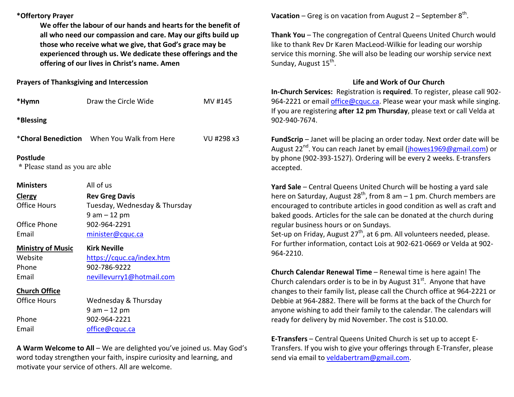## **\*Offertory Prayer**

**We offer the labour of our hands and hearts for the benefit of all who need our compassion and care. May our gifts build up those who receive what we give, that God's grace may be experienced through us. We dedicate these offerings and the offering of our lives in Christ's name. Amen** 

### **Prayers of Thanksgiving and Intercession**

| *Hymn                                             | Draw the Circle Wide                                                      | MV #145    |
|---------------------------------------------------|---------------------------------------------------------------------------|------------|
| *Blessing                                         |                                                                           |            |
|                                                   | <b>*Choral Benediction</b> When You Walk from Here                        | VU #298 x3 |
| <b>Postlude</b><br>* Please stand as you are able |                                                                           |            |
| <b>Ministers</b>                                  | All of us                                                                 |            |
| <b>Clergy</b><br><b>Office Hours</b>              | <b>Rev Greg Davis</b><br>Tuesday, Wednesday & Thursday<br>$9$ am $-12$ pm |            |
| Office Phone<br>Email                             | 902-964-2291<br>minister@cquc.ca                                          |            |
| <b>Ministry of Music</b>                          | <b>Kirk Neville</b>                                                       |            |
| Website<br>Phone<br>Email                         | https://cquc.ca/index.htm<br>902-786-9222<br>nevillevurry1@hotmail.com    |            |
| <b>Church Office</b>                              |                                                                           |            |
| <b>Office Hours</b>                               | Wednesday & Thursday<br>$9$ am $-12$ pm                                   |            |
| Phone                                             | 902-964-2221                                                              |            |
| Email                                             | office@cquc.ca                                                            |            |

**A Warm Welcome to All** – We are delighted you've joined us. May God's word today strengthen your faith, inspire curiosity and learning, and motivate your service of others. All are welcome.

**Vacation** – Greg is on vacation from August  $2$  – September  $8<sup>th</sup>$ .

**Thank You** – The congregation of Central Queens United Church would like to thank Rev Dr Karen MacLeod-Wilkie for leading our worship service this morning. She will also be leading our worship service next Sunday, August 15<sup>th</sup>.

# **Life and Work of Our Church**

 **In-Church Services:** Registration is **required**. To register, please call 902-964-2221 or email *office@cquc.ca*. Please wear your mask while singing. If you are registering **after 12 pm Thursday**, please text or call Velda at 902-940-7674.

**FundScrip** – Janet will be placing an order today. Next order date will be August 22<sup>nd</sup>. You can reach Janet by email (jhowes1969@gmail.com) or by phone (902-393-1527). Ordering will be every 2 weeks. E-transfers accepted.

**Yard Sale** – Central Queens United Church will be hosting a yard sale here on Saturday, August 28<sup>th</sup>, from 8 am – 1 pm. Church members are encouraged to contribute articles in good condition as well as craft and baked goods. Articles for the sale can be donated at the church during regular business hours or on Sundays.

Set-up on Friday, August 27<sup>th</sup>, at 6 pm. All volunteers needed, please. For further information, contact Lois at 902-621-0669 or Velda at 902-964-2210.

**Church Calendar Renewal Time** – Renewal time is here again! The Church calendars order is to be in by August 31<sup>st</sup>. Anyone that have changes to their family list, please call the Church office at 964-2221 or Debbie at 964-2882. There will be forms at the back of the Church for anyone wishing to add their family to the calendar. The calendars will ready for delivery by mid November. The cost is \$10.00.

**E-Transfers** – Central Queens United Church is set up to accept E-Transfers. If you wish to give your offerings through E-Transfer, please send via email to veldabertram@gmail.com.